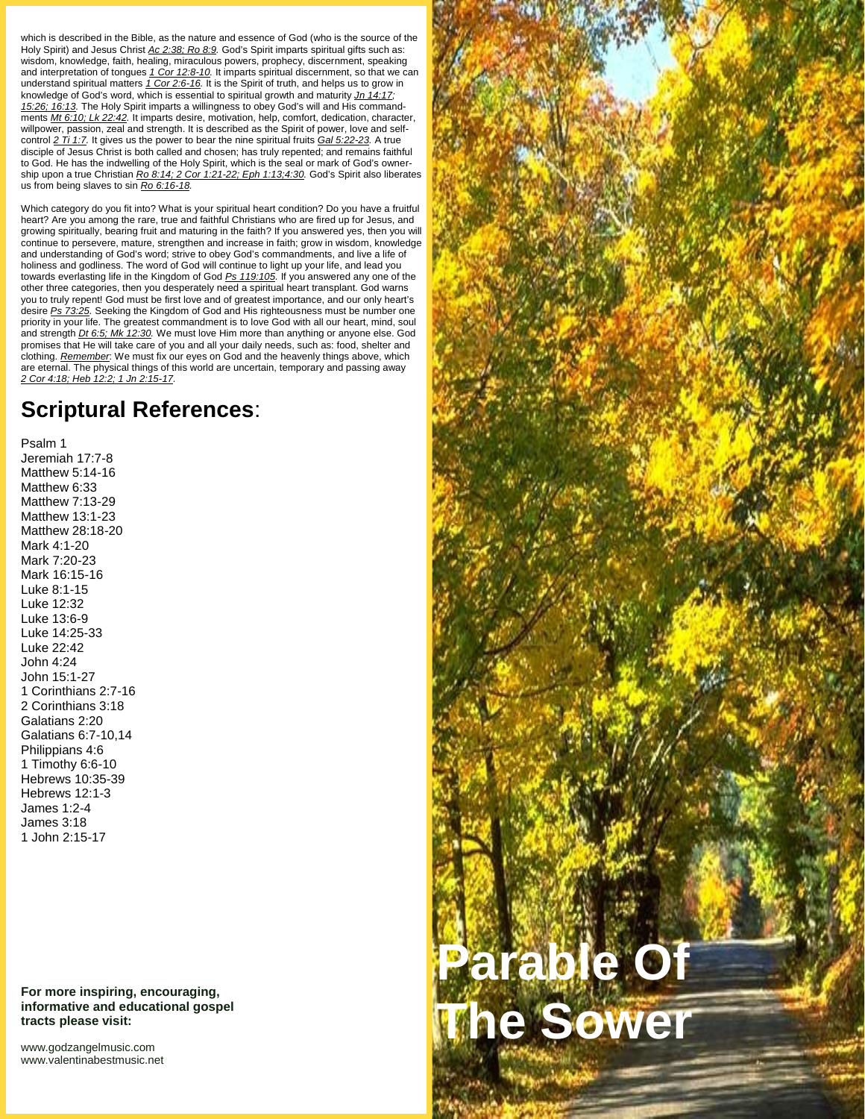which is described in the Bible, as the nature and essence of God (who is the source of the Holy Spirit) and Jesus Christ *Ac 2:38; Ro 8:9.* God's Spirit imparts spiritual gifts such as: wisdom, knowledge, faith, healing, miraculous powers, prophecy, discernment, speaking and interpretation of tongues *1 Cor 12:8-10.* It imparts spiritual discernment, so that we can understand spiritual matters *1 Cor 2:6-16.* It is the Spirit of truth, and helps us to grow in knowledge of God's word, which is essential to spiritual growth and maturity *Jn 14:17; 15:26; 16:13.* The Holy Spirit imparts a willingness to obey God's will and His commandments *Mt 6:10; Lk 22:42.* It imparts desire, motivation, help, comfort, dedication, character, willpower, passion, zeal and strength. It is described as the Spirit of power, love and self control *2 Ti 1:7.* It gives us the power to bear the nine spiritual fruits *Gal 5:22-23.* A true disciple of Jesus Christ is both called and chosen; has truly repented; and remains faithful to God. He has the indwelling of the Holy Spirit, which is the seal or mark of God's owner ship upon a true Christian *Ro 8:14; 2 Cor 1:21-22; Eph 1:13;4:30.* God's Spirit also liberates us from being slaves to sin *Ro 6:16-18.*

Which category do you fit into? What is your spiritual heart condition? Do you have a fruitful heart? Are you among the rare, true and faithful Christians who are fired up for Jesus, and growing spiritually, bearing fruit and maturing in the faith? If you answered yes, then you will continue to persevere, mature, strengthen and increase in faith; grow in wisdom, knowledge and understanding of God's word; strive to obey God's commandments, and live a life of holiness and godliness. The word of God will continue to light up your life, and lead you towards everlasting life in the Kingdom of God *Ps 119:105.* If you answered any one of the other three categories, then you desperately need a spiritual heart transplant. God warns you to truly repent! God must be first love and of greatest importance, and our only heart's desire *Ps 73:25.* Seeking the Kingdom of God and His righteousness must be number one priority in your life. The greatest commandment is to love God with all our heart, mind, soul and strength *Dt 6:5; Mk 12:30.* We must love Him more than anything or anyone else. God promises that He will take care of you and all your daily needs, such as: food, shelter and clothing. *Remember*: We must fix our eyes on God and the heavenly things above, which are eternal. The physical things of this world are uncertain, temporary and passing away *2 Cor 4:18; Heb 12:2; 1 Jn 2:15-17.*

## **Scriptural References**:

Psalm 1 Jeremiah 17:7-8 Matthew 5:14-16 Matthew 6:33 Matthew 7:13-29 Matthew 13:1-23 Matthew 28:18-20 Mark 4:1-20 Mark 7:20-23 Mark 16:15-16 Luke 8:1-15 Luke 12:32 Luke 13:6-9 Luke 14:25-33 Luke 22:42 John 4:24 John 15:1-27 1 Corinthians 2:7-16 2 Corinthians 3:18 Galatians 2:20 Galatians 6:7-10,14 Philippians 4:6 1 Timothy 6:6-10 Hebrews 10:35-39 Hebrews 12:1-3 James 1:2-4 James 3:18 1 John 2:15-17

**For more inspiring, encouraging, informative and educational gospel tracts please visit:**

<www.godzangelmusic.com> <www.valentinabestmusic.net>